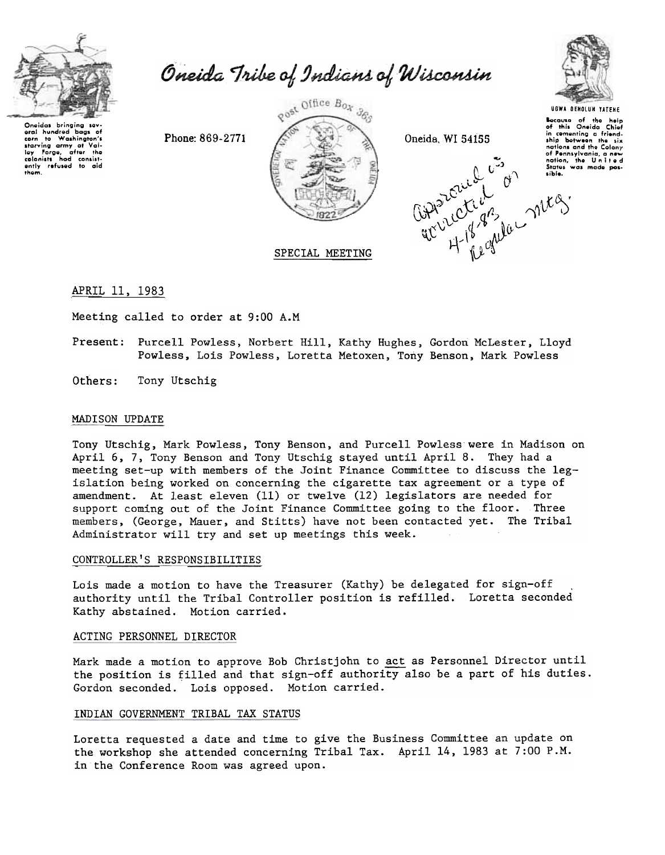

corn to Washington's<br>starving army at Val-<br>ley Forge, after the<br>colonists had consist-<br>ently refused to aid

them.

Oneida Tribe of Indians of Wisconsin

Phone: 869-2771



SPECIAL MEETING

Oneida, WI 54155





**UGWA DENOLUN YATENE** Bocause of the help of this Oneida Chief<br>in comenting a friend-<br>ship between the six nations and the Colony of Pennsylvania, a new

APRIL 11, 1983

Meeting called to order at 9:00 A.M

- Present: Purcell Powless, Norbert Hill, Kathy Hughes, Gordon McLester, Lloyd Powless, Lois Powless, Loretta Metoxen, Tony Benson, Mark Powless
- Others: Tony Utschig

### MADISON UPDATE

Tony Utschig, Mark Powless, Tony Benson, and Purcell Powless were in Madison on April 6, 7, Tony Benson and Tony Utschig stayed until April 8. They had a meeting set-up with members of the Joint Finance Committee to discuss the legislation being worked on concerning the cigarette tax agreement or a type of amendment. At least eleven (11) or twelve (12) legislators are needed for support coming out of the Joint Finance Committee going to the floor. Three members, (George, Mauer, and Stitts) have not been contacted yet. The Tribal Administrator will try and set up meetings this week.

### CONTROLLER'S RESPONSIBILITIES

Lois made a motion to have the Treasurer (Kathy) be delegated for sign-off authority until the Tribal Controller position is refilled. Loretta seconded Kathy abstained. Motion carried.

#### ACTING PERSONNEL DIRECTOR

Mark made a motion to approve Bob Christjohn to act as Personnel Director until the position is filled and that sign-off authority also be a part of his duties. Gordon seconded. Lois opposed. Motion carried.

### INDIAN GOVERNMENT TRIBAL TAX STATUS

Loretta requested a date and time to give the Business Committee an update on the workshop she attended concerning Tribal Tax. April 14, 1983 at 7:00 P.M. in the Conference Room was agreed upon.